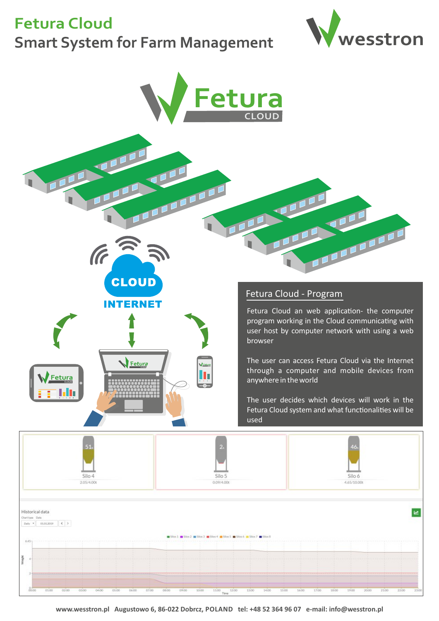**Fetura Cloud**

# **Smart System for Farm Management wesstron**





**www.wesstron.pl Augustowo 6, 86-022 Dobrcz, POLAND tel: +48 52 364 96 07 e-mail: info@wesstron.pl** 

11:00 Time 12:00